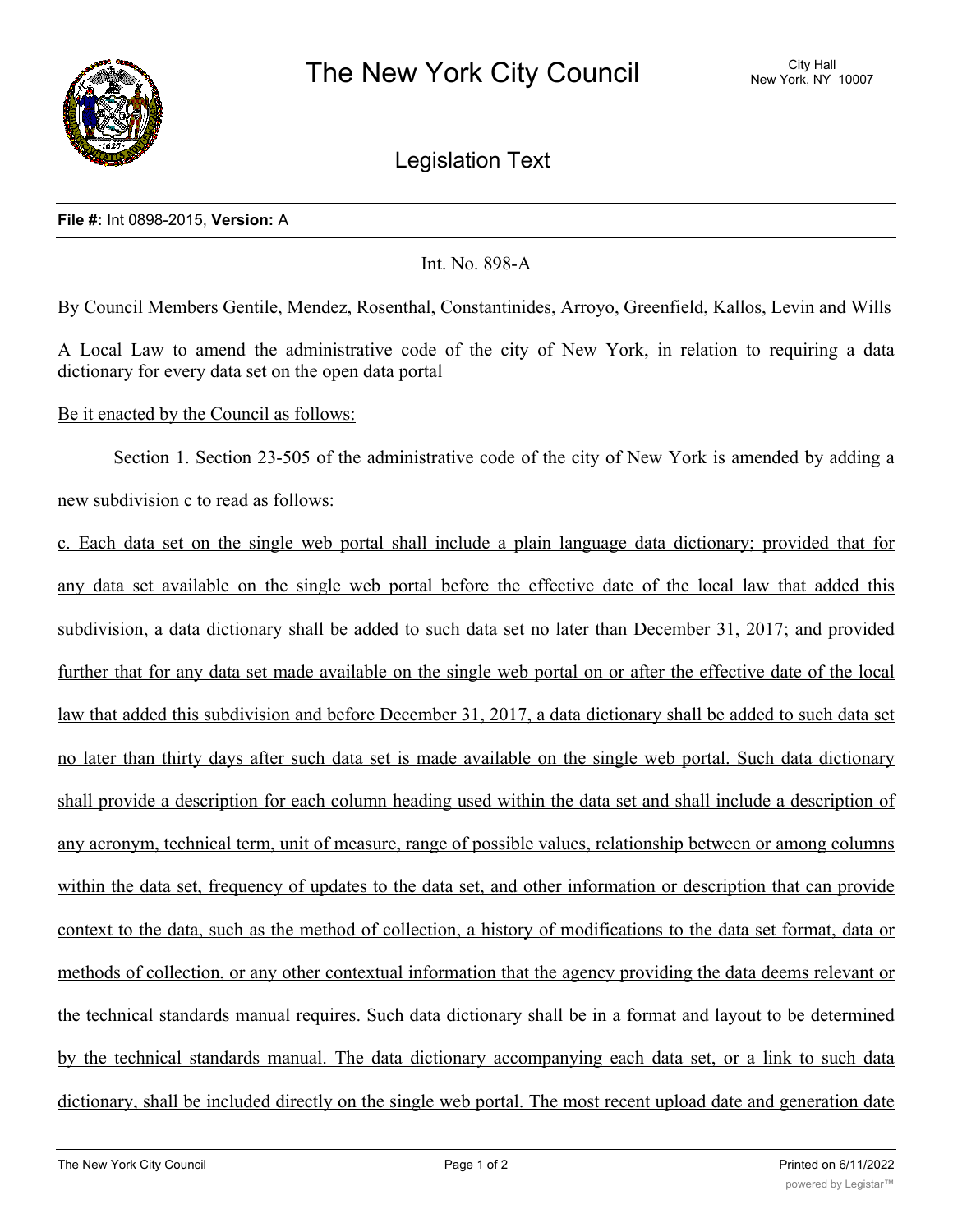

Legislation Text

## **File #:** Int 0898-2015, **Version:** A

## Int. No. 898-A

By Council Members Gentile, Mendez, Rosenthal, Constantinides, Arroyo, Greenfield, Kallos, Levin and Wills

A Local Law to amend the administrative code of the city of New York, in relation to requiring a data dictionary for every data set on the open data portal

## Be it enacted by the Council as follows:

Section 1. Section 23-505 of the administrative code of the city of New York is amended by adding a new subdivision c to read as follows:

c. Each data set on the single web portal shall include a plain language data dictionary; provided that for any data set available on the single web portal before the effective date of the local law that added this subdivision, a data dictionary shall be added to such data set no later than December 31, 2017; and provided further that for any data set made available on the single web portal on or after the effective date of the local law that added this subdivision and before December 31, 2017, a data dictionary shall be added to such data set no later than thirty days after such data set is made available on the single web portal. Such data dictionary shall provide a description for each column heading used within the data set and shall include a description of any acronym, technical term, unit of measure, range of possible values, relationship between or among columns within the data set, frequency of updates to the data set, and other information or description that can provide context to the data, such as the method of collection, a history of modifications to the data set format, data or methods of collection, or any other contextual information that the agency providing the data deems relevant or the technical standards manual requires. Such data dictionary shall be in a format and layout to be determined by the technical standards manual. The data dictionary accompanying each data set, or a link to such data dictionary, shall be included directly on the single web portal. The most recent upload date and generation date